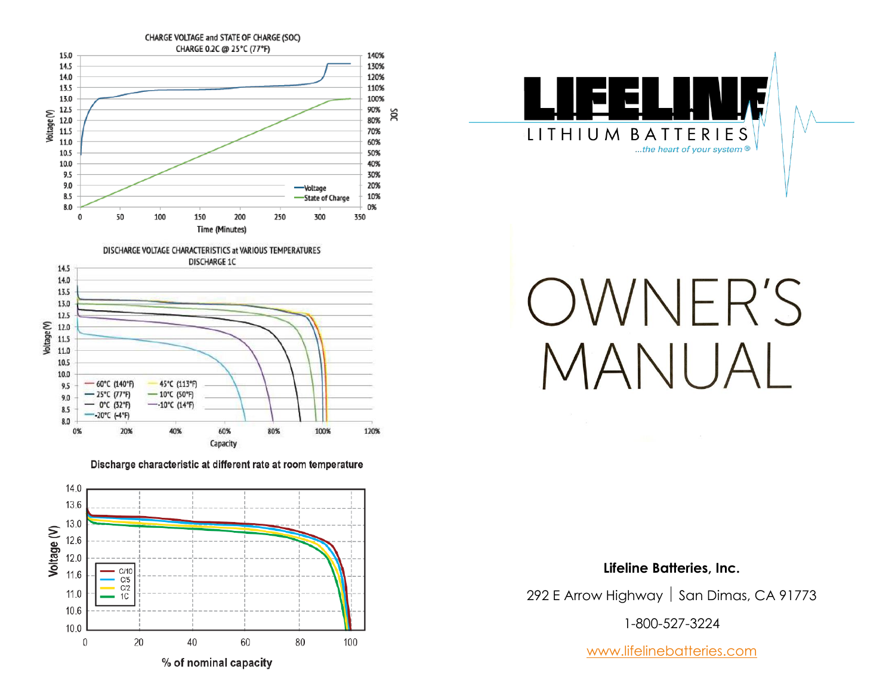



# OWNER'S MANUA

#### **Lifeline Batteries, Inc.**

292 E Arrow Highway  $\vert$  San Dimas, CA 91773

1-800-527-3224

[www.lifelinebatteries.com](http://www.lifelinebatteries.com/)